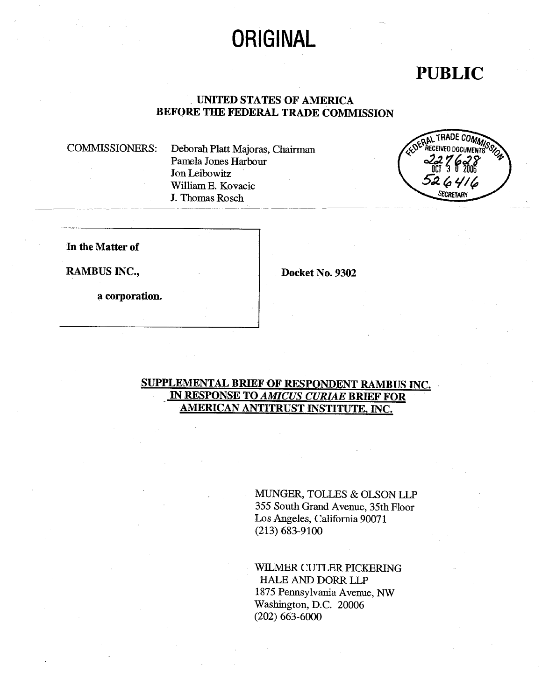# **ORIGINAL**

# PUBLIC

## . UNITED STATES OF AMERICA BEFORE THE FEDERAL TRADE COMMISSION

COMMISSIONERS: Deborah Platt Majoras, Chairman Pamela Jones Harbour Jon Leibowitz Willam E. Kovacic J. Thomas Rosch



In the Matter of

RAMBUS INC., Docket No. 9302

a corporation.

# SUPPLEMENTAL BRIEF OF RESPONDENT RAMBUS INC. IN RESPONSE TO AMICUS CURIAE BRIEF FOR AMERICAN ANTITRUST INSTITUTE. INC.

MUNGER, TOLLES & OLSON LLP 355 South Grand Avenue, 35th Floor Los Angeles, California 90071 (213) 683-9100

WIMER CUTLER PICKERING HALE AND DORR LLP 1875 Pennsylvania Avenue, NW Washigton, D.C. 20006 (202) 663-6000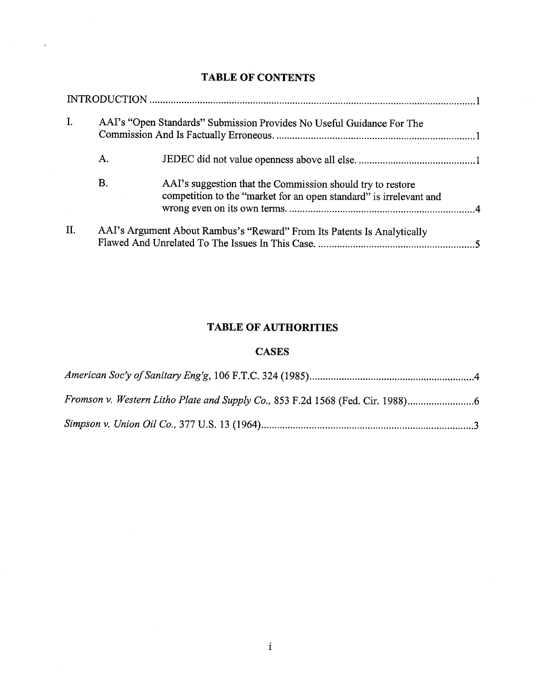### TABLE OF CONTENTS

 $\sim$ 

| I.  | AAI's "Open Standards" Submission Provides No Useful Guidance For The |                                                                                                                                  |  |
|-----|-----------------------------------------------------------------------|----------------------------------------------------------------------------------------------------------------------------------|--|
|     | A.                                                                    |                                                                                                                                  |  |
|     | B.                                                                    | AAI's suggestion that the Commission should try to restore<br>competition to the "market for an open standard" is irrelevant and |  |
| II. |                                                                       | AAI's Argument About Rambus's "Reward" From Its Patents Is Analytically                                                          |  |

#### TABLE OF AUTHORITIES

#### CASES

| Fromson v. Western Litho Plate and Supply Co., 853 F.2d 1568 (Fed. Cir. 1988) |  |
|-------------------------------------------------------------------------------|--|
|                                                                               |  |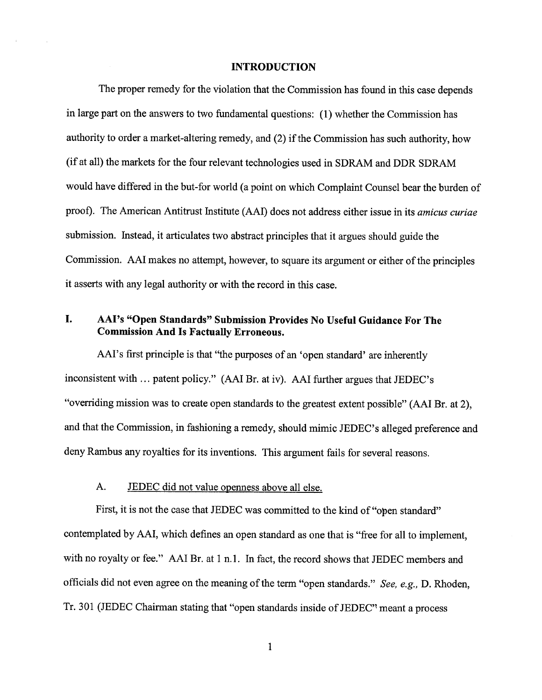#### INTRODUCTION

The proper remedy for the violation that the Commission has found in this case depends in large part on the answers to two fundamental questions: (1) whether the Commission has authority to order a market-altering remedy, and (2) if the Commission has such authority, how (if at all) the markets for the four relevant technologies used in SDRAM and DDR SDRAM would have differed in the but-for world (a point on which Complaint Counsel bear the burden of proof). The American Antitrust Institute (AAI) does not address either issue in its *amicus curiae* submission. Instead, it articulates two abstract principles that it argues should guide the Commission. AAI makes no attempt, however, to square its argument or either of the principles it asserts with any legal authority or with the record in this case.

#### L. AAl's " Open Standards" Submission Provides No Useful Guidance For The Commission And Is Factually Erroneous.

AAI's first principle is that "the purposes of an 'open standard' are inherently inconsistent with... patent policy." (AAI Br. at iv). AAI further argues that JEDEC' "overriding mission was to create open standards to the greatest extent possible" (AAI Br. at 2), and that the Commission, in fashioning a remedy, should mimic JEDEC's alleged preference and deny Rambus any royalties for its inventions. This argument fails for several reasons.

#### JEDEC did not value openness above all else.  $A_{-}$

First, it is not the case that JEDEC was committed to the kind of "open standard" contemplated by AAI, which defines an open standard as one that is "free for all to implement with no royalty or fee." AAI Br. at 1 n.1. In fact, the record shows that JEDEC members and officials did not even agree on the meaning of the term "open standards." See, e.g., D. Rhoden, Tr. 301 (JEDEC Chairman stating that "open standards inside of JEDEC" meant a process

 $\mathbf{1}$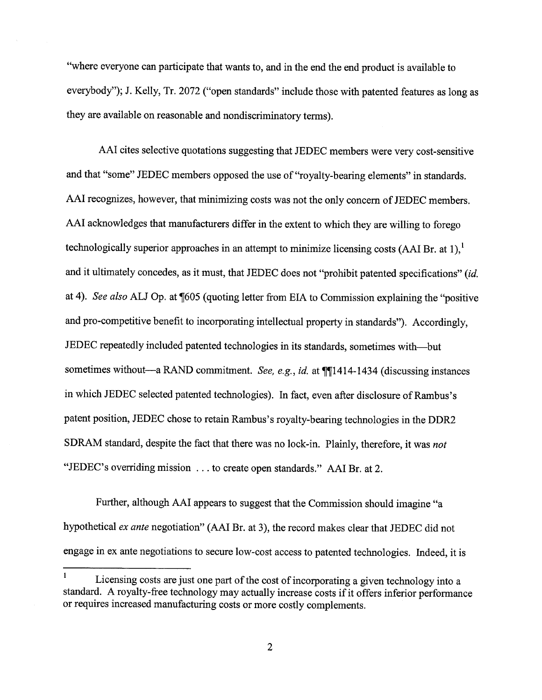where everyone can participate that wants to, and in the end the end product is available to everybody"); J. Kelly, Tr. 2072 ("open standards" include those with patented features as long as they are available on reasonable and nondiscriminatory tenns).

AAI cites selective quotations suggesting that JEDEC members were very cost-sensitive and that "some" JEDEC members opposed the use of "royalty-bearing elements" in standards. AAI recognizes, however, that minimizing costs was not the only concern of JEDEC members. AAI acknowledges that manufacturers differ in the extent to which they are wiling to forego technologically superior approaches in an attempt to minimize licensing costs (AAI Br. at 1), and it ultimately concedes, as it must, that JEDEC does not "prohibit patented specifications" (id. at 4). See also ALJ Op. at ¶605 (quoting letter from EIA to Commission explaining the "positive and pro-competitive benefit to incorporating intellectual property in standards"). Accordingly, JEDEC repeatedly included patented technologies in its standards, sometimes with-but sometimes without-a RAND commitment. See, e.g., id. at  $\P$ [1414-1434 (discussing instances in which JEDEC selected patented technologies). In fact, even after disclosure of Rambus's patent position, JEDEC chose to retain Rambus's royalty-bearing technologies in the DDR2 SDRAM standard, despite the fact that there was no lock-in. Plainly, therefore, it was not "JEDEC's overriding mission . . . to create open standards." AAI Br. at 2.

Further, although AAI appears to suggest that the Commission should imagine "a hypothetical ex ante negotiation" (AAI Br. at 3), the record makes clear that JEDEC did not engage in ex ante negotiations to secure low-cost access to patented technologies. Indeed, it is

Licensing costs are just one part of the cost of incorporating a given technology into a standard. A royalty-free technology may actually increase costs if it offers inferior performance or requires increased manufacturing costs or more costly complements.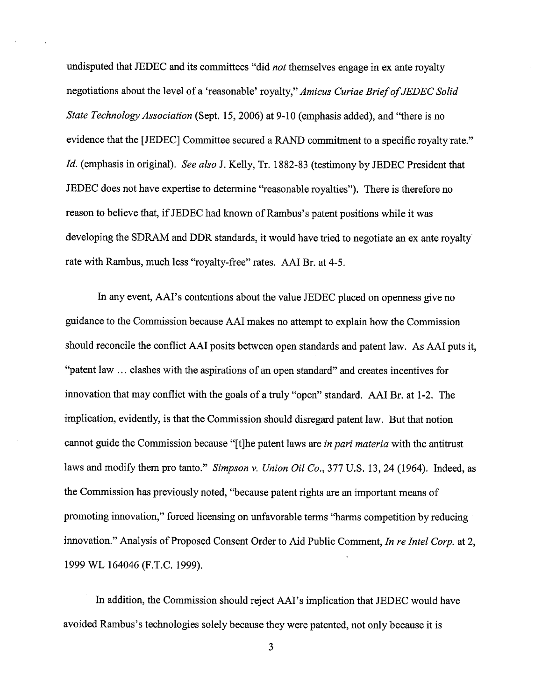undisputed that JEDEC and its committees "did not themselves engage in ex ante royalty negotiations about the level of a 'reasonable' royalty," Amicus Curiae Brief of JEDEC Solid State Technology Association (Sept. 15, 2006) at 9-10 (emphasis added), and "there is no evidence that the [JEDEC] Committee secured a RAND commitment to a specific royalty rate." Id. (emphasis in original). See also J. Kelly, Tr. 1882-83 (testimony by JEDEC President that JEDEC does not have expertise to determine "reasonable royalties"). There is therefore no reason to believe that, if JEDEC had known of Rambus's patent positions while it was developing the SDRAM and DDR standards, it would have tried to negotiate an ex ante royalty rate with Rambus, much less "royalty-free" rates. AAI Br. at 4-5.

In any event, AAI's contentions about the value JEDEC placed on openness give no guidance to the Commission because AAI makes no attempt to explain how the Commission should reconcile the conflict AAI posits between open standards and patent law. As AAI puts it, patent law. .. clashes with the aspirations of an open standard" and creates incentives for innovation that may conflict with the goals of a truly "open" standard. AAI Br. at 1-2. The implication, evidently, is that the Commission should disregard patent law. But that notion cannot guide the Commission because "[t]he patent laws are in pari materia with the antitrust laws and modify them pro tanto." Simpson v. Union Oil Co.,  $377$  U.S. 13, 24 (1964). Indeed, as the Commission has previously noted, "because patent rights are an important means of promoting innovation," forced licensing on unfavorable terms "harms competition by reducing innovation." Analysis of Proposed Consent Order to Aid Public Comment, In re Intel Corp. at 2 1999 WL 164046 (F.T.C. 1999).

In addition, the Commission should reject AAI's implication that JEDEC would have avoided Rambus's technologies solely because they were patented, not only because it is

3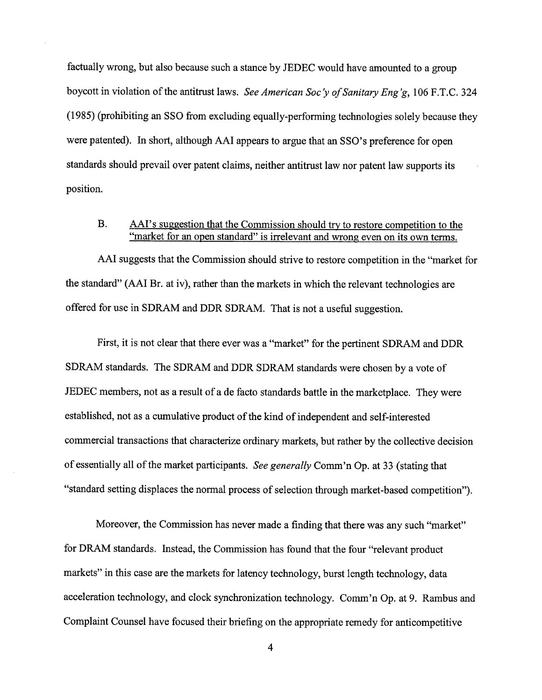factually wrong, but also because such a stance by JEDEC would have amounted to a group boycott in violation of the antitrust laws. See American Soc'y of Sanitary Eng'g, 106 F.T.C. 324 (1985) (prohibiting an SSO from excluding equally-perfonning technologies solely because they were patented). In short, although AAI appears to argue that an SSO's preference for open standards should prevail over patent claims, neither antitrust law nor patent law supports its position.

#### $B<sub>r</sub>$ AAI's suggestion that the Commission should try to restore competition to the "market for an open standard" is irrelevant and wrong even on its own terms.

AAI suggests that the Commission should strive to restore competition in the "market for the standard" (AAI Br. at iv), rather than the markets in which the relevant technologies are offered for use in SDRAM and DDR SDRAM. That is not a useful suggestion.

First, it is not clear that there ever was a "market" for the pertinent SDRAM and DDR SDRAM standards. The SDRAM and DDR SDRAM standards were chosen by a vote of JEDEC members, not as a result of a de facto standards battle in the marketplace. They were established, not as a cumulative product of the kind of independent and self-interested commercial transactions that characterize ordinary markets, but rather by the collective decision of essentially all of the market participants. See generally Comm'n Op. at 33 (stating that standard setting displaces the normal process of selection through market-based competition"

Moreover, the Commission has never made a finding that there was any such "market" for DRAM standards. Instead, the Commission has found that the four "relevant product markets" in this case are the markets for latency technology, burst length technology, data acceleration technology, and clock synchronization technology. Comm'n Op. at 9. Rambus and Complaint Counsel have focused their briefing on the appropriate remedy for anticompetitive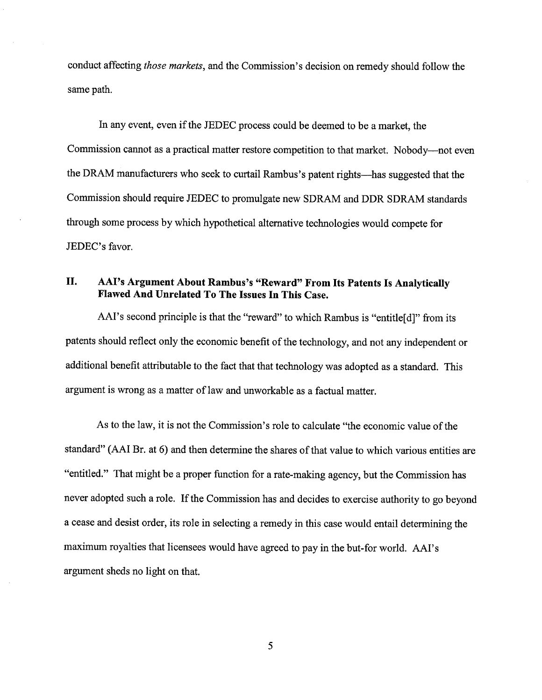conduct affecting those markets, and the Commission's decision on remedy should follow the same path.

In any event, even if the JEDEC process could be deemed to be a market, the Commission cannot as a practical matter restore competition to that market. Nobody---not even the DRAM manufacturers who seek to curtail Rambus's patent rights—has suggested that the Commission should require JEDEC to promulgate new SDRAM and DDR SDRAM standards through some process by which hypothetical alternative technologies would compete for JEDEC's favor.

## II. AAI's Argument About Rambus's "Reward" From Its Patents Is Analytically Flawed And Unrelated To The Issues In This Case.

AAI's second principle is that the "reward" to which Rambus is "entitle[d]" from its patents should reflect only the economic benefit of the technology, and not any independent or additional benefit attributable to the fact that that technology was adopted as a standard. This argument is wrong as a matter of law and unworkable as a factual matter.

As to the law, it is not the Commission's role to calculate "the economic value of the standard" (AAI Br. at 6) and then determine the shares of that value to which various entities are "entitled." That might be a proper function for a rate-making agency, but the Commission has never adopted such a role. If the Commission has and decides to exercise authority to go beyond a cease and desist order, its role in selecting a remedy in this case would entail detennining the maximum royalties that licensees would have agreed to pay in the but-for world. AAI's argument sheds no light on that.

5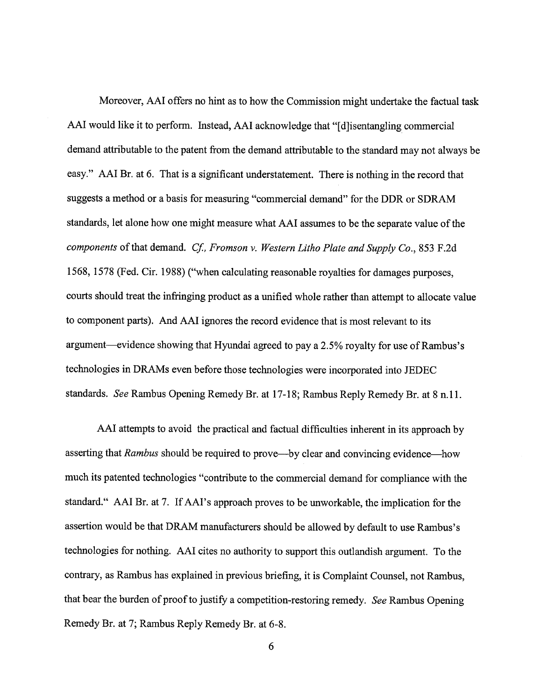Moreover, AAI offers no hint as to how the Commission might undertake the factual task AAI would like it to perform. Instead, AAI acknowledge that "[d] isentangling commercial demand attributable to the patent from the demand attributable to the standard may not always be easy." AAI Br. at 6. That is a significant understatement. There is nothing in the record that suggests a method or a basis for measuring "commercial demand" for the DDR or SDRAM standards, let alone how one might measure what AAI assumes to be the separate value of the components of that demand. Cf., Fromson v. Western Litho Plate and Supply Co., 853 F.2d 1568, 1578 (Fed. Cir. 1988) ("when calculating reasonable royalties for damages purposes courts should treat the infringing product as a unified whole rather than attempt to allocate value to component parts). And AAI ignores the record evidence that is most relevant to its argument-evidence showing that Hyundai agreed to pay a 2.5% royalty for use of Rambus's technologies in DRAMs even before those technologies were incorporated into JEDEC standards. See Rambus Opening Remedy Br. at 17- 18; Rambus Reply Remedy Br. at 8 n. 11.

AAI attempts to avoid the practical and factual difficulties inherent in its approach by asserting that Rambus should be required to prove—by clear and convincing evidence—how much its patented technologies "contribute to the commercial demand for compliance with the standard." AAI Br. at 7. If AAI's approach proves to be unworkable, the implication for the assertion would be that DRAM manufacturers should be allowed by default to use Rambus's technologies for nothing. AAI cites no authority to support this outlandish argument. To the contrary, as Rambus has explained in previous briefing, it is Complaint Counsel, not Rambus that bear the burden of proof to justify a competition-restoring remedy. See Rambus Opening Remedy Br. at 7; Rambus Reply Remedy Br. at 6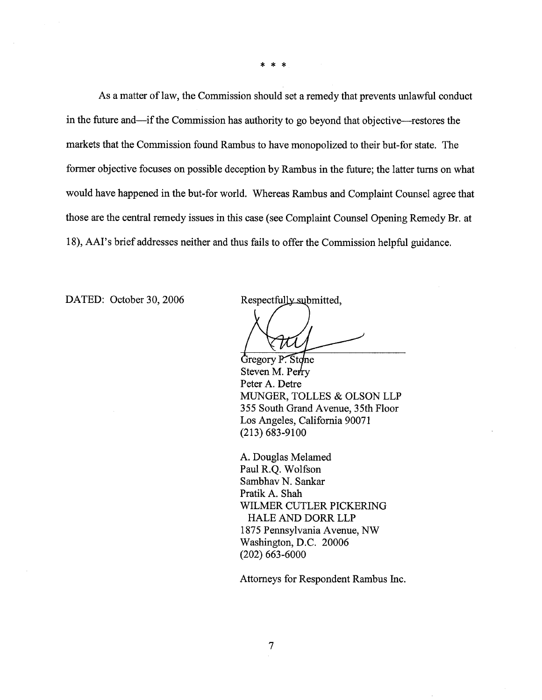$* *$ 

As a matter of law, the Commission should set a remedy that prevents unlawful conduct in the future and—if the Commission has authority to go beyond that objective—restores the markets that the Commission found Rambus to have monopolized to their but-for state. The fonner objective focuses on possible deception by Rambus in the future; the latter turns on what would have happened in the but-for world. Whereas Rambus and Complaint Counsel agree that those are the central remedy issues in this case (see Complaint Counsel Opening Remedy Br. at 18), AAI's brief addresses neither and thus fails to offer the Commission helpful guidance.

DATED: October 30, 2006

Respectfully submitted,

**Gregory P. Stone** Steven M. Perry Peter A. Detre MUNGER, TOLLES & OLSON LLP 355 South Grand Avenue, 35th Floor Los Angeles, California 90071 (213) 683-9100

A. Douglas Melamed Paul R.Q. Wolfson Sambhav N. Sankar Pratik A. Shah WILMER CUTLER PICKERING HALE AND DORR LLP 1875 Pennsylvania Avenue, NW Washington, D.C. 20006 (202) 663-6000

Attorneys for Respondent Rambus Inc.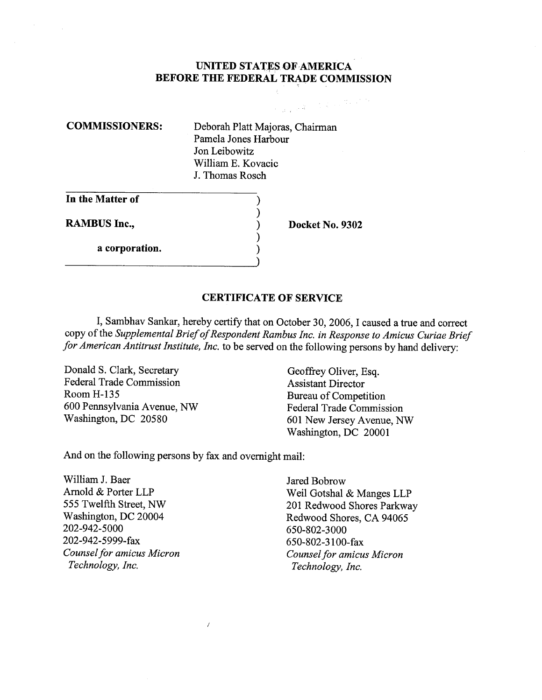#### UNITED STATES OF AMERICA BEFORE THE FEDERAL TRADE COMMISSION

COMMISSIONERS: Deborah Platt Majoras, Chairman Pamela Jones Harbour Jon Leibowitz Wiliam E. Kovacic J. Thomas Rosch

 $\mathcal{E}$ 

In the Matter of

a corporation.

RAMBUS Inc., Docket No. 9302

 $\label{eq:1} \mathcal{F}(\mu,\mu,\delta^2)=\mathcal{F}^{(2)}\mathcal{F}^{(2)}\mathcal{F}^{(2)}\mathcal{F}^{(2)}$ 

#### CERTIFICATE OF SERVICE

I, Sambhav Sankar, hereby certify that on October 30, 2006, I caused a true and correct copy of the Supplemental Brief of Respondent Rambus Inc. in Response to Amicus Curiae Brief for American Antitrust Institute, Inc. to be served on the following persons by hand delivery:

Donald S. Clark, Secretary Geoffrey Oliver, Esq. Federal Trade Commission<br>
Room H-135<br>
Rureau of Competent 600 Pennsylvania Avenue, NW Federal Trade Commission

Bureau of Competition 601 New Jersey Avenue, NW Washington, DC 20001

And on the following persons by fax and overnight mail:

 $\boldsymbol{I}$ 

William J. Baer Jared Bobrow<br>Arnold & Porter LLP Weil Gotshal 202-942-5000<br>202-942-5999-fax 650-802-3100 202-942-5999-fax 650-802-3100-fax<br>
Counsel for amicus Micron Counsel for amicu

Arold & Porter LLP Weil Gotshal & Manges LLP 555 Twelfth Street, NW<br>
Washington, DC 20004 1999 Redwood Shores CA 94065 Washington, DC 20004 Redwood Shores, CA 94065<br>202-942-5000 650-802-3000 Counsel for amicus Micron Francesco Counsel for amicus Micron<br>Technology, Inc. Counsel for amicus Micron Counsel for amicus Micron Technology, Inc.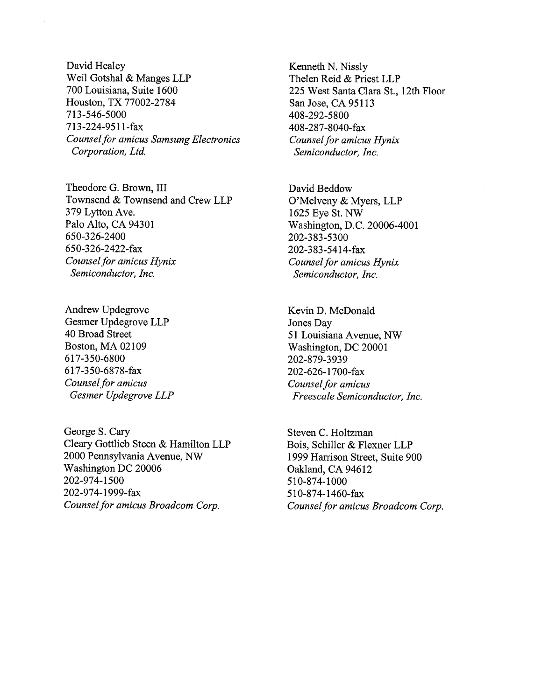David Healey Weil Gotshal & Manges LLP 700 Louisiana, Suite 1600 Houston, TX 77002-2784 713-546-5000 713-224-9511-fax Counsel for amicus Samsung Electronics Corporation, Ltd.

Theodore G. Brown, III Townsend & Townsend and Crew LLP 379 Lytton Ave. Palo Alto, CA 94301 650-326-2400 650-326-2422-fax Counsel for amicus Hynix Semiconductor, Inc.

Andrew Updegrove Gesmer Updegrove LLP 40 Broad Street Boston, MA 02109 617-350-6800 617-350-6878-fax Counsel for amicus Gesmer Updegrove LLP

George S. Cary Cleary Gottlieb Steen & Hamilton LLP 2000 Pennsylvania Avenue, NW Washington DC 20006 202-974- 1500 202-974-1999-fax Counsel for amicus Broadcom Corp.

Kenneth N. Nissly Thelen Reid & Priest LLP 225 West Santa Clara St., 12th Floor San Jose, CA 95113 408-292-5800 408-287-8040-fax Counsel for amicus Hynix Semiconductor, Inc.

David Beddow O'Melveny & Myers, LLP 1625 Eye St. NW Washington, D.C. 20006-4001 202-383-5300 202-383-5414-fax Counsel for amicus Hynix Semiconductor, Inc.

Kevin D. McDonald Jones Day 51 Louisiana Avenue, NW Washington, DC 20001 202-879-3939 202-626-1700-fax Counsel for amicus Freescale Semiconductor, Inc.

Steven C. Holtzman Bois, Schiler & Flexner LLP 1999 Harrson Street, Suite 900 Oakland, CA 94612 510-874- 1000 510-874-1460-fax Counsel for amicus Broadcom Corp.